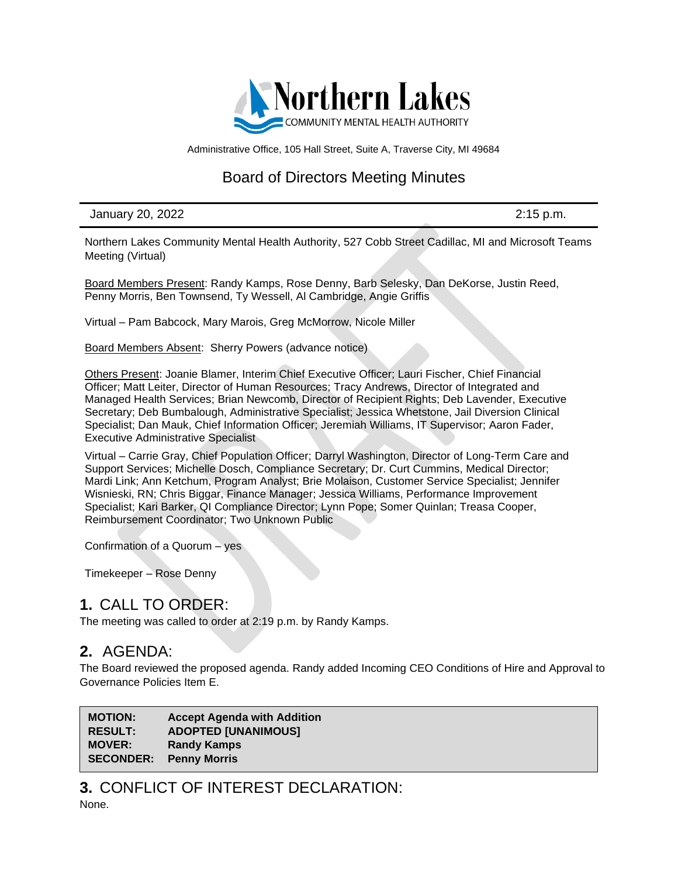

Administrative Office, 105 Hall Street, Suite A, Traverse City, MI 49684

# Board of Directors Meeting Minutes

January 20, 2022 2:15 p.m.

Northern Lakes Community Mental Health Authority, 527 Cobb Street Cadillac, MI and Microsoft Teams Meeting (Virtual)

Board Members Present: Randy Kamps, Rose Denny, Barb Selesky, Dan DeKorse, Justin Reed, Penny Morris, Ben Townsend, Ty Wessell, Al Cambridge, Angie Griffis

Virtual – Pam Babcock, Mary Marois, Greg McMorrow, Nicole Miller

Board Members Absent: Sherry Powers (advance notice)

Others Present: Joanie Blamer, Interim Chief Executive Officer; Lauri Fischer, Chief Financial Officer; Matt Leiter, Director of Human Resources; Tracy Andrews, Director of Integrated and Managed Health Services; Brian Newcomb, Director of Recipient Rights; Deb Lavender, Executive Secretary; Deb Bumbalough, Administrative Specialist; Jessica Whetstone, Jail Diversion Clinical Specialist; Dan Mauk, Chief Information Officer; Jeremiah Williams, IT Supervisor; Aaron Fader, Executive Administrative Specialist

Virtual – Carrie Gray, Chief Population Officer; Darryl Washington, Director of Long-Term Care and Support Services; Michelle Dosch, Compliance Secretary; Dr. Curt Cummins, Medical Director; Mardi Link; Ann Ketchum, Program Analyst; Brie Molaison, Customer Service Specialist; Jennifer Wisnieski, RN; Chris Biggar, Finance Manager; Jessica Williams, Performance Improvement Specialist; Kari Barker, QI Compliance Director; Lynn Pope; Somer Quinlan; Treasa Cooper, Reimbursement Coordinator; Two Unknown Public

Confirmation of a Quorum – yes

Timekeeper – Rose Denny

## **1.** CALL TO ORDER:

The meeting was called to order at 2:19 p.m. by Randy Kamps.

## **2.** AGENDA:

The Board reviewed the proposed agenda. Randy added Incoming CEO Conditions of Hire and Approval to Governance Policies Item E.

**MOTION: Accept Agenda with Addition RESULT: ADOPTED [UNANIMOUS] MOVER: Randy Kamps SECONDER: Penny Morris**

**3.** CONFLICT OF INTEREST DECLARATION: None.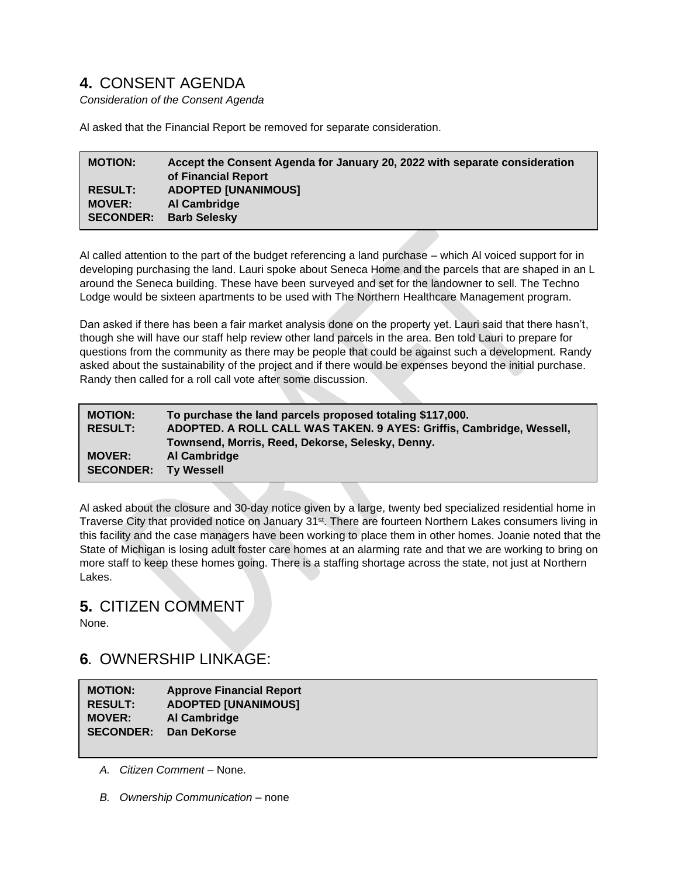# **4.** CONSENT AGENDA

*Consideration of the Consent Agenda*

Al asked that the Financial Report be removed for separate consideration.

| <b>MOTION:</b>   | Accept the Consent Agenda for January 20, 2022 with separate consideration<br>of Financial Report |
|------------------|---------------------------------------------------------------------------------------------------|
| <b>RESULT:</b>   | <b>ADOPTED [UNANIMOUS]</b>                                                                        |
| <b>MOVER:</b>    | Al Cambridge                                                                                      |
| <b>SECONDER:</b> | <b>Barb Selesky</b>                                                                               |

Al called attention to the part of the budget referencing a land purchase – which Al voiced support for in developing purchasing the land. Lauri spoke about Seneca Home and the parcels that are shaped in an L around the Seneca building. These have been surveyed and set for the landowner to sell. The Techno Lodge would be sixteen apartments to be used with The Northern Healthcare Management program.

Dan asked if there has been a fair market analysis done on the property yet. Lauri said that there hasn't, though she will have our staff help review other land parcels in the area. Ben told Lauri to prepare for questions from the community as there may be people that could be against such a development. Randy asked about the sustainability of the project and if there would be expenses beyond the initial purchase. Randy then called for a roll call vote after some discussion.

| <b>MOTION:</b>              | To purchase the land parcels proposed totaling \$117,000.            |
|-----------------------------|----------------------------------------------------------------------|
| <b>RESULT:</b>              | ADOPTED. A ROLL CALL WAS TAKEN. 9 AYES: Griffis, Cambridge, Wessell, |
|                             | Townsend, Morris, Reed, Dekorse, Selesky, Denny.                     |
| <b>MOVER:</b>               | Al Cambridge                                                         |
| <b>SECONDER: Ty Wessell</b> |                                                                      |

Al asked about the closure and 30-day notice given by a large, twenty bed specialized residential home in Traverse City that provided notice on January 31<sup>st</sup>. There are fourteen Northern Lakes consumers living in this facility and the case managers have been working to place them in other homes. Joanie noted that the State of Michigan is losing adult foster care homes at an alarming rate and that we are working to bring on more staff to keep these homes going. There is a staffing shortage across the state, not just at Northern Lakes.

## **5.** CITIZEN COMMENT

None.

# **6.** OWNERSHIP LINKAGE:

| <b>MOTION:</b>   | <b>Approve Financial Report</b> |
|------------------|---------------------------------|
| <b>RESULT:</b>   | <b>ADOPTED [UNANIMOUS]</b>      |
| <b>MOVER:</b>    | Al Cambridge                    |
| <b>SECONDER:</b> | Dan DeKorse                     |
|                  |                                 |

- *A. Citizen Comment* None.
- *B. Ownership Communication –* none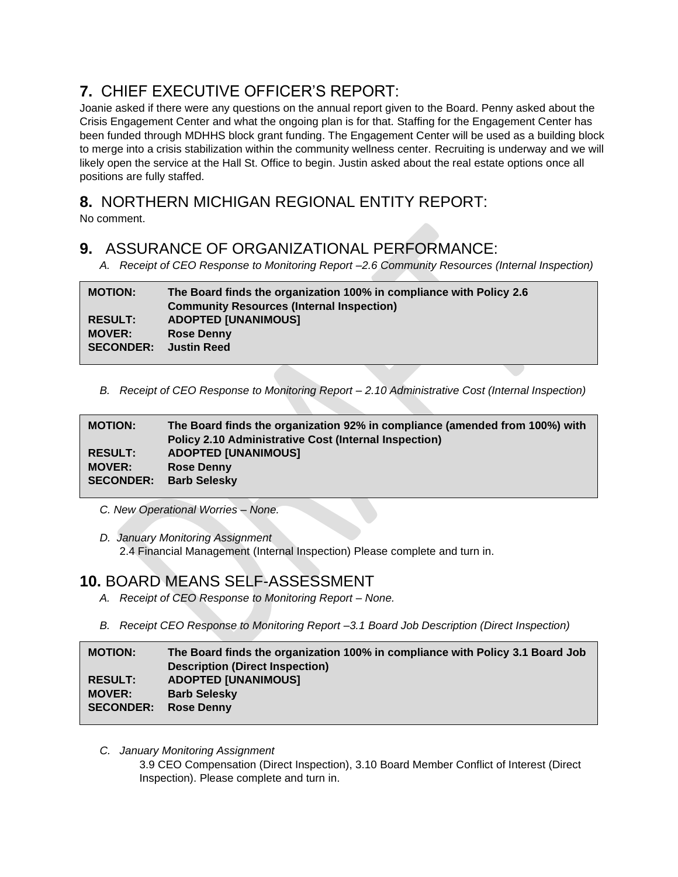# **7.** CHIEF EXECUTIVE OFFICER'S REPORT:

Joanie asked if there were any questions on the annual report given to the Board. Penny asked about the Crisis Engagement Center and what the ongoing plan is for that. Staffing for the Engagement Center has been funded through MDHHS block grant funding. The Engagement Center will be used as a building block to merge into a crisis stabilization within the community wellness center. Recruiting is underway and we will likely open the service at the Hall St. Office to begin. Justin asked about the real estate options once all positions are fully staffed.

# **8.** NORTHERN MICHIGAN REGIONAL ENTITY REPORT:

No comment.

## **9.** ASSURANCE OF ORGANIZATIONAL PERFORMANCE:

*A. Receipt of CEO Response to Monitoring Report –2.6 Community Resources (Internal Inspection)*

| <b>MOTION:</b>   | The Board finds the organization 100% in compliance with Policy 2.6<br><b>Community Resources (Internal Inspection)</b> |
|------------------|-------------------------------------------------------------------------------------------------------------------------|
| <b>RESULT:</b>   | <b>ADOPTED [UNANIMOUS]</b>                                                                                              |
| <b>MOVER:</b>    | <b>Rose Denny</b>                                                                                                       |
| <b>SECONDER:</b> | <b>Justin Reed</b>                                                                                                      |
|                  |                                                                                                                         |

*B. Receipt of CEO Response to Monitoring Report – 2.10 Administrative Cost (Internal Inspection)*

| <b>MOTION:</b>   | The Board finds the organization 92% in compliance (amended from 100%) with<br><b>Policy 2.10 Administrative Cost (Internal Inspection)</b> |
|------------------|---------------------------------------------------------------------------------------------------------------------------------------------|
| <b>RESULT:</b>   | <b>ADOPTED [UNANIMOUS]</b>                                                                                                                  |
| <b>MOVER:</b>    | <b>Rose Denny</b>                                                                                                                           |
| <b>SECONDER:</b> | <b>Barb Selesky</b>                                                                                                                         |
|                  |                                                                                                                                             |

- *C. New Operational Worries – None.*
- *D. January Monitoring Assignment* 2.4 Financial Management (Internal Inspection) Please complete and turn in.

# **10.** BOARD MEANS SELF-ASSESSMENT

- *A. Receipt of CEO Response to Monitoring Report – None.*
- *B. Receipt CEO Response to Monitoring Report –3.1 Board Job Description (Direct Inspection)*

| <b>MOTION:</b>   | The Board finds the organization 100% in compliance with Policy 3.1 Board Job |
|------------------|-------------------------------------------------------------------------------|
|                  | <b>Description (Direct Inspection)</b>                                        |
| <b>RESULT:</b>   | <b>ADOPTED [UNANIMOUS]</b>                                                    |
| <b>MOVER:</b>    | <b>Barb Selesky</b>                                                           |
| <b>SECONDER:</b> | <b>Rose Denny</b>                                                             |
|                  |                                                                               |

*C. January Monitoring Assignment*

3.9 CEO Compensation (Direct Inspection), 3.10 Board Member Conflict of Interest (Direct Inspection). Please complete and turn in.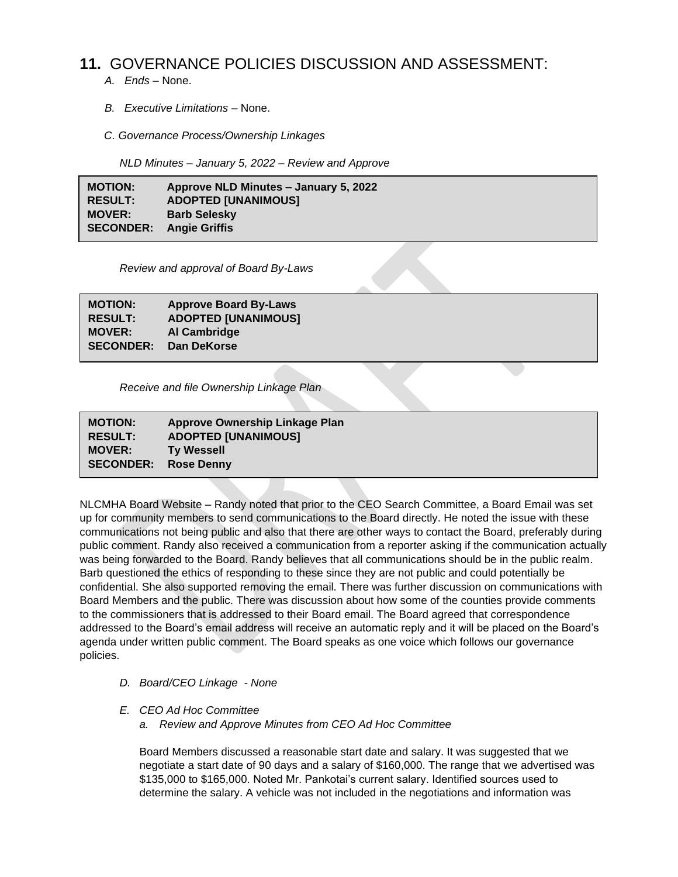## **11.** GOVERNANCE POLICIES DISCUSSION AND ASSESSMENT:

- *A. Ends –* None.
- *B. Executive Limitations –* None.
- *C. Governance Process/Ownership Linkages*

 *NLD Minutes – January 5, 2022 – Review and Approve*

**MOTION: Approve NLD Minutes – January 5, 2022 RESULT: ADOPTED [UNANIMOUS] MOVER: Barb Selesky SECONDER: Angie Griffis**

*Review and approval of Board By-Laws*

**MOTION: Approve Board By-Laws RESULT: ADOPTED [UNANIMOUS] MOVER: Al Cambridge SECONDER: Dan DeKorse**

 *Receive and file Ownership Linkage Plan*

| <b>MOTION:</b>              | Approve Ownership Linkage Plan |
|-----------------------------|--------------------------------|
| <b>RESULT:</b>              | <b>ADOPTED [UNANIMOUS]</b>     |
| <b>MOVER:</b>               | <b>Ty Wessell</b>              |
| <b>SECONDER: Rose Denny</b> |                                |
|                             |                                |

NLCMHA Board Website – Randy noted that prior to the CEO Search Committee, a Board Email was set up for community members to send communications to the Board directly. He noted the issue with these communications not being public and also that there are other ways to contact the Board, preferably during public comment. Randy also received a communication from a reporter asking if the communication actually was being forwarded to the Board. Randy believes that all communications should be in the public realm. Barb questioned the ethics of responding to these since they are not public and could potentially be confidential. She also supported removing the email. There was further discussion on communications with Board Members and the public. There was discussion about how some of the counties provide comments to the commissioners that is addressed to their Board email. The Board agreed that correspondence addressed to the Board's email address will receive an automatic reply and it will be placed on the Board's agenda under written public comment. The Board speaks as one voice which follows our governance policies.

- *D. Board/CEO Linkage - None*
- *E. CEO Ad Hoc Committee*
	- *a. Review and Approve Minutes from CEO Ad Hoc Committee*

Board Members discussed a reasonable start date and salary. It was suggested that we negotiate a start date of 90 days and a salary of \$160,000. The range that we advertised was \$135,000 to \$165,000. Noted Mr. Pankotai's current salary. Identified sources used to determine the salary. A vehicle was not included in the negotiations and information was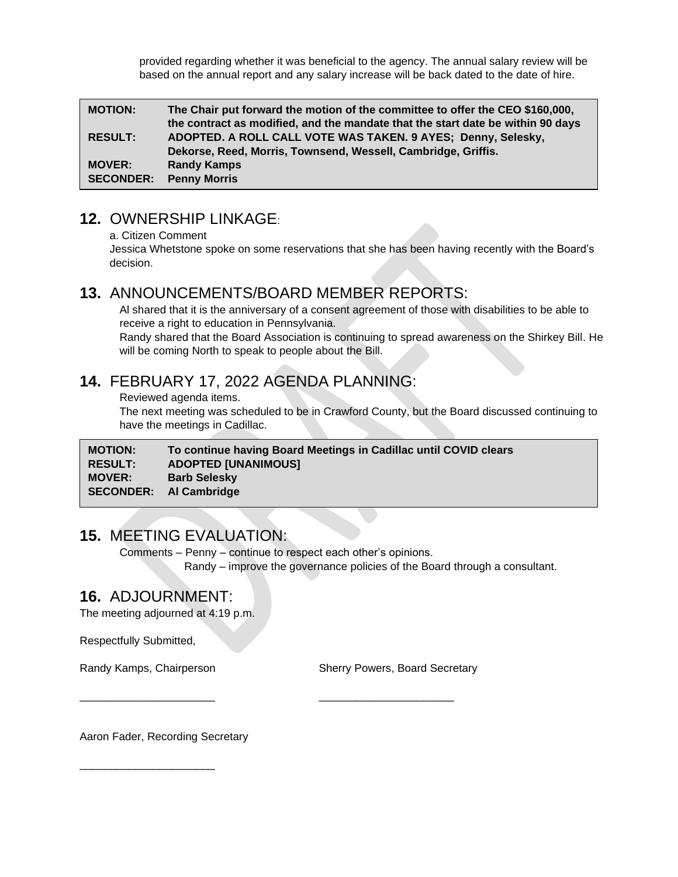provided regarding whether it was beneficial to the agency. The annual salary review will be based on the annual report and any salary increase will be back dated to the date of hire.

| <b>MOTION:</b>   | The Chair put forward the motion of the committee to offer the CEO \$160,000,<br>the contract as modified, and the mandate that the start date be within 90 days |
|------------------|------------------------------------------------------------------------------------------------------------------------------------------------------------------|
| <b>RESULT:</b>   | ADOPTED. A ROLL CALL VOTE WAS TAKEN. 9 AYES; Denny, Selesky,                                                                                                     |
|                  | Dekorse, Reed, Morris, Townsend, Wessell, Cambridge, Griffis.                                                                                                    |
| <b>MOVER:</b>    | <b>Randy Kamps</b>                                                                                                                                               |
| <b>SECONDER:</b> | <b>Penny Morris</b>                                                                                                                                              |

### **12.** OWNERSHIP LINKAGE:

a. Citizen Comment

Jessica Whetstone spoke on some reservations that she has been having recently with the Board's decision.

#### **13.** ANNOUNCEMENTS/BOARD MEMBER REPORTS:

Al shared that it is the anniversary of a consent agreement of those with disabilities to be able to receive a right to education in Pennsylvania.

Randy shared that the Board Association is continuing to spread awareness on the Shirkey Bill. He will be coming North to speak to people about the Bill.

## **14.** FEBRUARY 17, 2022 AGENDA PLANNING:

\_\_\_\_\_\_\_\_\_\_\_\_\_\_\_\_\_\_\_\_\_\_ \_\_\_\_\_\_\_\_\_\_\_\_\_\_\_\_\_\_\_\_\_\_

Reviewed agenda items.

The next meeting was scheduled to be in Crawford County, but the Board discussed continuing to have the meetings in Cadillac.

**MOTION: To continue having Board Meetings in Cadillac until COVID clears RESULT: ADOPTED [UNANIMOUS] MOVER: Barb Selesky SECONDER: Al Cambridge**

## **15.** MEETING EVALUATION:

Comments – Penny – continue to respect each other's opinions. Randy – improve the governance policies of the Board through a consultant.

## **16.** ADJOURNMENT:

The meeting adjourned at 4:19 p.m.

Respectfully Submitted,

\_\_\_\_\_\_\_\_\_\_\_\_\_\_\_\_\_\_\_\_\_\_

Randy Kamps, Chairperson **Sherry Powers, Board Secretary** 

Aaron Fader, Recording Secretary